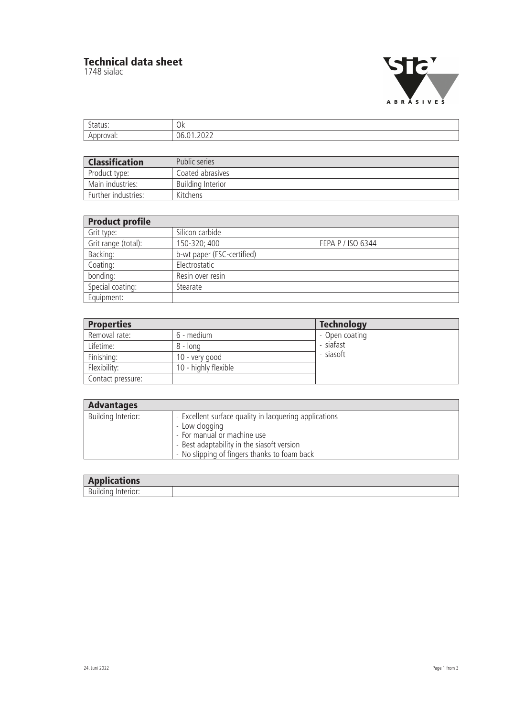## **Technical data sheet**

1748 sialac



| $\sim$              | $\cap$                            |
|---------------------|-----------------------------------|
| cu J                | UN.                               |
| $W_{\Omega}$<br>. . | $\sim$<br>1h<br>∼<br>. <u>. .</u> |

| <b>Classification</b> | Public series            |
|-----------------------|--------------------------|
| Product type:         | Coated abrasives         |
| Main industries:      | <b>Building Interior</b> |
| Further industries:   | Kitchens                 |

| <b>Product profile</b> |                            |                   |
|------------------------|----------------------------|-------------------|
| Grit type:             | Silicon carbide            |                   |
| Grit range (total):    | 150-320; 400               | FEPA P / ISO 6344 |
| Backing:               | b-wt paper (FSC-certified) |                   |
| Coating:               | Electrostatic              |                   |
| bonding:               | Resin over resin           |                   |
| Special coating:       | Stearate                   |                   |
| Equipment:             |                            |                   |

| <b>Properties</b> |                      | <b>Technology</b> |
|-------------------|----------------------|-------------------|
| Removal rate:     | 6 - medium           | - Open coating    |
| Lifetime:         | $8 - long$           | - siafast         |
| Finishing:        | 10 - very good       | - siasoft         |
| Flexibility:      | 10 - highly flexible |                   |
| Contact pressure: |                      |                   |

| <b>Advantages</b>  |                                                                                                                                                                                                       |
|--------------------|-------------------------------------------------------------------------------------------------------------------------------------------------------------------------------------------------------|
| Building Interior: | - Excellent surface quality in lacquering applications<br>- Low clogging<br>- For manual or machine use<br>- Best adaptability in the siasoft version<br>- No slipping of fingers thanks to foam back |

| . .<br>.<br>plications<br><b>Applicatic</b> |  |
|---------------------------------------------|--|
| D<br>------<br>ĎU                           |  |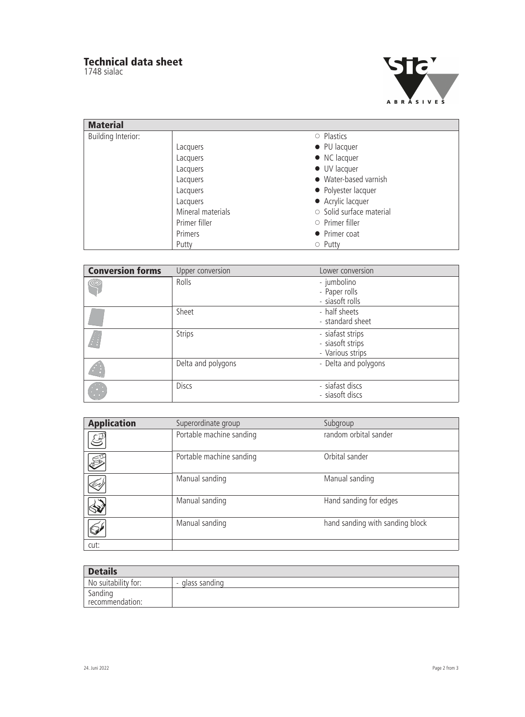## **Technical data sheet**

1748 sialac



| <b>Material</b>           |                   |                                |
|---------------------------|-------------------|--------------------------------|
| <b>Building Interior:</b> |                   | $\circ$ Plastics               |
|                           | Lacquers          | • PU lacquer                   |
|                           | Lacquers          | $\bullet$ NC lacquer           |
|                           | Lacquers          | $\bullet$ UV lacquer           |
|                           | Lacquers          | • Water-based varnish          |
|                           | Lacquers          | • Polyester lacquer            |
|                           | Lacquers          | • Acrylic lacquer              |
|                           | Mineral materials | $\circ$ Solid surface material |
|                           | Primer filler     | $\circ$ Primer filler          |
|                           | Primers           | • Primer coat                  |
|                           | Putty             | $\circ$ Putty                  |

| <b>Conversion forms</b> | Upper conversion   | Lower conversion                                         |
|-------------------------|--------------------|----------------------------------------------------------|
| ¢                       | Rolls              | - jumbolino<br>- Paper rolls<br>- siasoft rolls          |
|                         | Sheet              | - half sheets<br>- standard sheet                        |
|                         | Strips             | - siafast strips<br>- siasoft strips<br>- Various strips |
|                         | Delta and polygons | - Delta and polygons                                     |
|                         | <b>Discs</b>       | - siafast discs<br>- siasoft discs                       |

| <b>Application</b>                                              | Superordinate group      | Subgroup                        |  |
|-----------------------------------------------------------------|--------------------------|---------------------------------|--|
| $\mathcal{G}% _{M_{1},M_{2}}^{\left( 1\right) }\left( t\right)$ | Portable machine sanding | random orbital sander           |  |
| S                                                               | Portable machine sanding | Orbital sander                  |  |
| <b>Ly</b>                                                       | Manual sanding           | Manual sanding                  |  |
|                                                                 | Manual sanding           | Hand sanding for edges          |  |
| $\overline{\mathbb{S}^1}$                                       | Manual sanding           | hand sanding with sanding block |  |
| cut:                                                            |                          |                                 |  |

| <b>Details</b>             |                 |
|----------------------------|-----------------|
| No suitability for:        | - glass sanding |
| Sanding<br>recommendation: |                 |
|                            |                 |